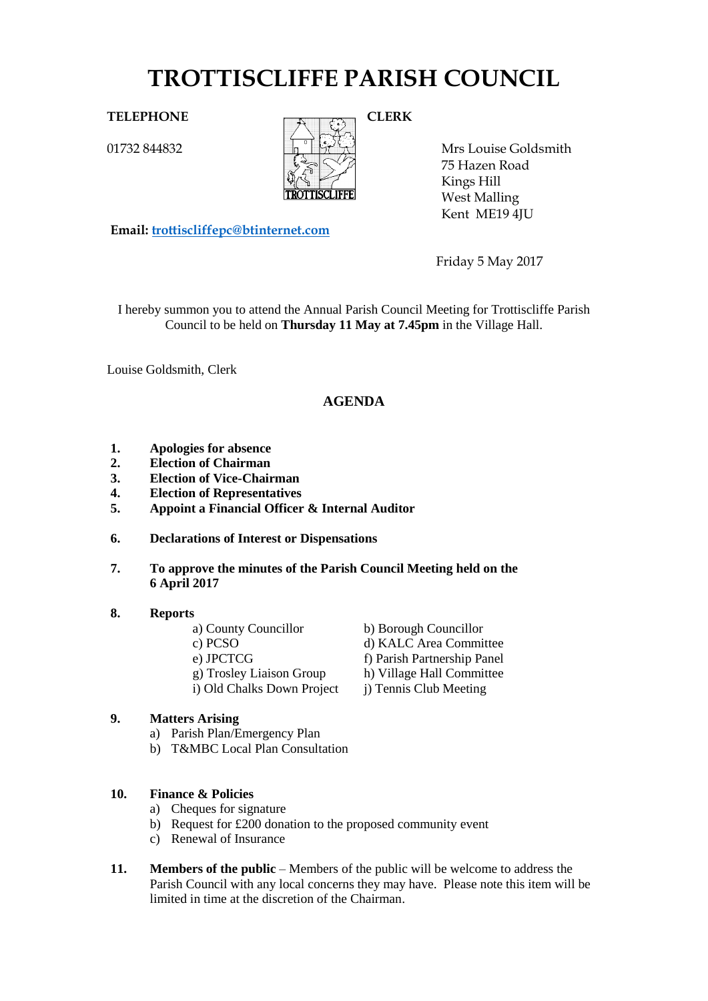# **TROTTISCLIFFE PARISH COUNCIL**

01732 844832



Mrs Louise Goldsmith 75 Hazen Road Kings Hill West Malling Kent ME19 4JU

**Email: [trottiscliffepc@btinternet.com](mailto:trottiscliffepc@btinternet.com)**

Friday 5 May 2017

I hereby summon you to attend the Annual Parish Council Meeting for Trottiscliffe Parish Council to be held on **Thursday 11 May at 7.45pm** in the Village Hall.

Louise Goldsmith, Clerk

## **AGENDA**

- **1. Apologies for absence**
- **2. Election of Chairman**
- **3. Election of Vice-Chairman**
- **4. Election of Representatives**
- **5. Appoint a Financial Officer & Internal Auditor**
- **6. Declarations of Interest or Dispensations**
- **7. To approve the minutes of the Parish Council Meeting held on the 6 April 2017**
- **8. Reports**
	-
	-
	-
	-
	- i) Old Chalks Down Project i) Tennis Club Meeting

#### **9. Matters Arising**

- a) Parish Plan/Emergency Plan
- b) T&MBC Local Plan Consultation

#### **10. Finance & Policies**

- a) Cheques for signature
- b) Request for £200 donation to the proposed community event
- c) Renewal of Insurance
- **11. Members of the public** Members of the public will be welcome to address the Parish Council with any local concerns they may have. Please note this item will be limited in time at the discretion of the Chairman.

a) County Councillor b) Borough Councillor c) PCSO d) KALC Area Committee e) JPCTCG<br>
f) Parish Partnership Panel<br>
g) Troslev Liaison Group<br>
h) Village Hall Committee h) Village Hall Committee